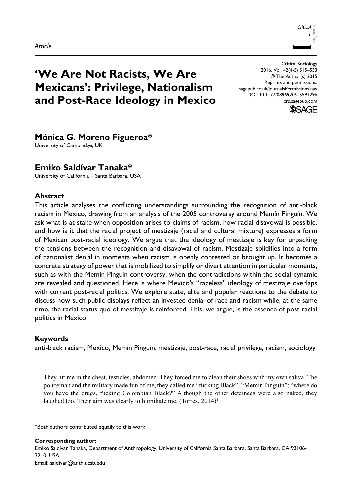

# **'We Are Not Racists, We Are Mexicans': Privilege, Nationalism and Post-Race Ideology in Mexico**

Critical Sociology 2016, Vol. 42(4-5) 515–533 © The Author(s) 2015 Reprints and permissions: sagepub.co.uk/journalsPermissions.nav DOI: 10.1177/0896920515591296 crs.sagepub.com



# **Mónica G. Moreno Figueroa\***

University of Cambridge, UK

# **Emiko Saldívar Tanaka\***

University of California – Santa Barbara, USA

#### **Abstract**

This article analyses the conflicting understandings surrounding the recognition of anti-black racism in Mexico, drawing from an analysis of the 2005 controversy around Memín Pinguín. We ask what is at stake when opposition arises to claims of racism, how racial disavowal is possible, and how is it that the racial project of mestizaje (racial and cultural mixture) expresses a form of Mexican post-racial ideology. We argue that the ideology of mestizaje is key for unpacking the tensions between the recognition and disavowal of racism. Mestizaje solidifies into a form of nationalist denial in moments when racism is openly contested or brought up. It becomes a concrete strategy of power that is mobilized to simplify or divert attention in particular moments, such as with the Memín Pinguín controversy, when the contradictions within the social dynamic are revealed and questioned. Here is where Mexico's "raceless" ideology of mestizaje overlaps with current post-racial politics. We explore state, elite and popular reactions to the debate to discuss how such public displays reflect an invested denial of race and racism while, at the same time, the racial status quo of mestizaje is reinforced. This, we argue, is the essence of post-racial politics in Mexico.

### **Keywords**

anti-black racism, Mexico, Memín Pinguín, mestizaje, post-race, racial privilege, racism, sociology

They hit me in the chest, testicles, abdomen. They forced me to clean their shoes with my own saliva. The policeman and the military made fun of me, they called me "fucking Black", "Memín Pinguín"; "where do you have the drugs, fucking Colombian Black?" Although the other detainees were also naked, they laughed too. Their aim was clearly to humiliate me. (Torres, 2014)<sup>1</sup>

\*Both authors contributed equally to this work.

**Corresponding author:** Emiko Saldivar Tanaka, Department of Anthropology, University of California Santa Barbara, Santa Barbara, CA 93106- 3210, USA. Email: [saldivar@anth.ucsb.edu](mailto:saldivar@anth.ucsb.edu)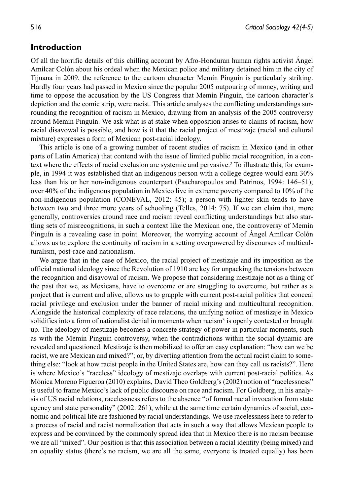#### **Introduction**

Of all the horrific details of this chilling account by Afro-Honduran human rights activist Ángel Amílcar Colón about his ordeal when the Mexican police and military detained him in the city of Tijuana in 2009, the reference to the cartoon character Memín Pinguín is particularly striking. Hardly four years had passed in Mexico since the popular 2005 outpouring of money, writing and time to oppose the accusation by the US Congress that Memín Pinguín, the cartoon character's depiction and the comic strip, were racist. This article analyses the conflicting understandings surrounding the recognition of racism in Mexico, drawing from an analysis of the 2005 controversy around Memín Pinguín. We ask what is at stake when opposition arises to claims of racism, how racial disavowal is possible, and how is it that the racial project of mestizaje (racial and cultural mixture) expresses a form of Mexican post-racial ideology.

This article is one of a growing number of recent studies of racism in Mexico (and in other parts of Latin America) that contend with the issue of limited public racial recognition, in a context where the effects of racial exclusion are systemic and pervasive.2 To illustrate this, for example, in 1994 it was established that an indigenous person with a college degree would earn 30% less than his or her non-indigenous counterpart (Psacharopoulos and Patrinos, 1994: 146–51); over 40% of the indigenous population in Mexico live in extreme poverty compared to 10% of the non-indigenous population (CONEVAL, 2012: 45); a person with lighter skin tends to have between two and three more years of schooling (Telles, 2014: 75). If we can claim that, more generally, controversies around race and racism reveal conflicting understandings but also startling sets of misrecognitions, in such a context like the Mexican one, the controversy of Memín Pinguín is a revealing case in point. Moreover, the worrying account of Ángel Amílcar Colón allows us to explore the continuity of racism in a setting overpowered by discourses of multiculturalism, post-race and nationalism.

We argue that in the case of Mexico, the racial project of mestizaje and its imposition as the official national ideology since the Revolution of 1910 are key for unpacking the tensions between the recognition and disavowal of racism. We propose that considering mestizaje not as a thing of the past that we, as Mexicans, have to overcome or are struggling to overcome, but rather as a project that is current and alive, allows us to grapple with current post-racial politics that conceal racial privilege and exclusion under the banner of racial mixing and multicultural recognition. Alongside the historical complexity of race relations, the unifying notion of mestizaje in Mexico solidifies into a form of nationalist denial in moments when racism<sup>3</sup> is openly contested or brought up. The ideology of mestizaje becomes a concrete strategy of power in particular moments, such as with the Memín Pinguín controversy, when the contradictions within the social dynamic are revealed and questioned. Mestizaje is then mobilized to offer an easy explanation: "how can we be racist, we are Mexican and mixed?"; or, by diverting attention from the actual racist claim to something else: "look at how racist people in the United States are, how can they call us racists?". Here is where Mexico's "raceless" ideology of mestizaje overlaps with current post-racial politics. As Mónica Moreno Figueroa (2010) explains, David Theo Goldberg's (2002) notion of "racelessness" is useful to frame Mexico's lack of public discourse on race and racism. For Goldberg, in his analysis of US racial relations, racelessness refers to the absence "of formal racial invocation from state agency and state personality" (2002: 261), while at the same time certain dynamics of social, economic and political life are fashioned by racial understandings. We use racelessness here to refer to a process of racial and racist normalization that acts in such a way that allows Mexican people to express and be convinced by the commonly spread idea that in Mexico there is no racism because we are all "mixed". Our position is that this association between a racial identity (being mixed) and an equality status (there's no racism, we are all the same, everyone is treated equally) has been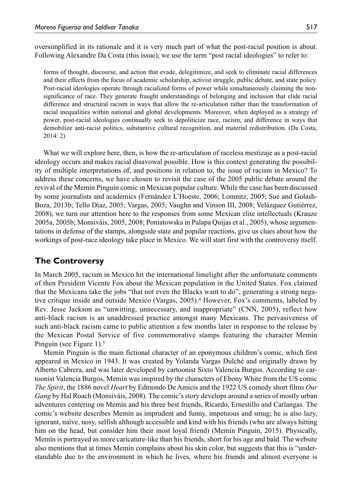oversimplified in its rationale and it is very much part of what the post-racial position is about. Following Alexandre Da Costa (this issue), we use the term "post racial ideologies" to refer to:

forms of thought, discourse, and action that evade, delegitimize, and seek to eliminate racial differences and their effects from the focus of academic scholarship, activist struggle, public debate, and state policy. Post-racial ideologies operate through racialized forms of power while simultaneously claiming the nonsignificance of race. They generate fraught understandings of belonging and inclusion that elide racial difference and structural racism in ways that allow the re-articulation rather than the transformation of racial inequalities within national and global developments. Moreover, when deployed as a strategy of power, post-racial ideologies continually seek to depoliticize race, racism, and difference in ways that demobilize anti-racist politics, substantive cultural recognition, and material redistribution. (Da Costa, 2014: 2)

What we will explore here, then, is how the re-articulation of raceless mestizaje as a post-racial ideology occurs and makes racial disavowal possible. How is this context generating the possibility of multiple interpretations of, and positions in relation to, the issue of racism in Mexico? To address these concerns, we have chosen to revisit the case of the 2005 public debate around the revival of the Memín Pinguín comic in Mexican popular culture. While the case has been discussed by some journalists and academics (Fernández L'Hoeste, 2006; Lomnitz, 2005; Sue and Golash-Boza, 2013b; Tello Díaz, 2005; Vargas, 2005; Vaughn and Vinson III, 2008; Velázquez Gutiérrez, 2008), we turn our attention here to the responses from some Mexican elite intellectuals (Krauze 2005a, 2005b; Monsiváis, 2005, 2008; Poniatowska in Palapa Quijas et al., 2005), whose argumentations in defense of the stamps, alongside state and popular reactions, give us clues about how the workings of post-race ideology take place in Mexico. We will start first with the controversy itself.

# **The Controversy**

In March 2005, racism in Mexico hit the international limelight after the unfortunate comments of then President Vicente Fox about the Mexican population in the United States. Fox claimed that the Mexicans take the jobs "that not even the Blacks want to do", generating a strong negative critique inside and outside Mexico (Vargas, 2005).4 However, Fox's comments, labeled by Rev. Jesse Jackson as "unwitting, unnecessary, and inappropriate" (CNN, 2005), reflect how anti-black racism is an unaddressed practice amongst many Mexicans. The pervasiveness of such anti-black racism came to public attention a few months later in response to the release by the Mexican Postal Service of five commemorative stamps featuring the character Memín Pinguín (see Figure 1).5

Memín Pinguín is the main fictional character of an eponymous children's comic, which first appeared in Mexico in 1943. It was created by Yolanda Vargas Dulché and originally drawn by Alberto Cabrera, and was later developed by cartoonist Sixto Valencia Burgos. According to cartoonist Valencia Burgos, Memín was inspired by the characters of Ebony White from the US comic *The Spirit*, the 1886 novel *Heart* by Edmondo De Amicis and the 1922 US comedy short films *Our Gang* by Hal Roach (Monsiváis, 2008). The comic's story develops around a series of mostly urban adventures centering on Memín and his three best friends, Ricardo, Ernestillo and Carlangas. The comic's website describes Memín as imprudent and funny, impetuous and smug; he is also lazy, ignorant, naïve, nosy, selfish although accessible and kind with his friends (who are always hitting him on the head, but consider him their most loyal friend) (Memín Pinguín, 2015). Physically, Memín is portrayed as more caricature-like than his friends, short for his age and bald. The website also mentions that at times Memín complains about his skin color, but suggests that this is "understandable due to the environment in which he lives, where his friends and almost everyone is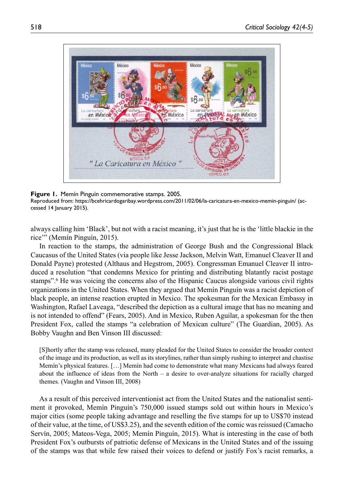

**Figure 1.** Memín Pinguín commemorative stamps. 2005. Reproduced from: [https://bcehricardogaribay.wordpress.com/2011/02/06/la-caricatura-en-mexico-memin-pinguin/ \(ac](https://bcehricardogaribay.wordpress.com/2011/02/06/la-caricatura-en-mexico-memin-pinguin/ (accessed 14 January 2015))[cessed 14 January 2015\).](https://bcehricardogaribay.wordpress.com/2011/02/06/la-caricatura-en-mexico-memin-pinguin/ (accessed 14 January 2015))

always calling him 'Black', but not with a racist meaning, it's just that he is the 'little blackie in the rice'" (Memín Pinguín, 2015).

In reaction to the stamps, the administration of George Bush and the Congressional Black Caucasus of the United States (via people like Jesse Jackson, Melvin Watt, Emanuel Cleaver II and Donald Payne) protested (Althaus and Hegstrom, 2005). Congressman Emanuel Cleaver II introduced a resolution "that condemns Mexico for printing and distributing blatantly racist postage stamps".<sup>6</sup> He was voicing the concerns also of the Hispanic Caucus alongside various civil rights organizations in the United States. When they argued that Memín Pinguín was a racist depiction of black people, an intense reaction erupted in Mexico. The spokesman for the Mexican Embassy in Washington, Rafael Laveaga, "described the depiction as a cultural image that has no meaning and is not intended to offend" (Fears, 2005). And in Mexico, Ruben Aguilar, a spokesman for the then President Fox, called the stamps "a celebration of Mexican culture" (The Guardian, 2005). As Bobby Vaughn and Ben Vinson III discussed:

[S]hortly after the stamp was released, many pleaded for the United States to consider the broader context of the image and its production, as well as its storylines, rather than simply rushing to interpret and chastise Memín's physical features. […] Memín had come to demonstrate what many Mexicans had always feared about the influence of ideas from the North – a desire to over-analyze situations for racially charged themes. (Vaughn and Vinson III, 2008)

As a result of this perceived interventionist act from the United States and the nationalist sentiment it provoked, Memín Pinguín's 750,000 issued stamps sold out within hours in Mexico's major cities (some people taking advantage and reselling the five stamps for up to US\$70 instead of their value, at the time, of US\$3.25), and the seventh edition of the comic was reissued (Camacho Servín, 2005; Mateos-Vega, 2005; Memín Pinguín, 2015). What is interesting in the case of both President Fox's outbursts of patriotic defense of Mexicans in the United States and of the issuing of the stamps was that while few raised their voices to defend or justify Fox's racist remarks, a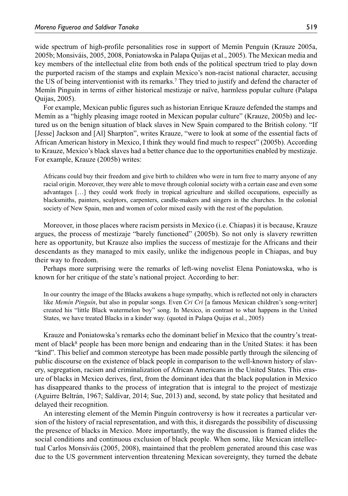wide spectrum of high-profile personalities rose in support of Memín Penguín (Krauze 2005a, 2005b; Monsiváis, 2005, 2008, Poniatowska in Palapa Quijas et al., 2005). The Mexican media and key members of the intellectual elite from both ends of the political spectrum tried to play down the purported racism of the stamps and explain Mexico's non-racist national character, accusing the US of being interventionist with its remarks.7 They tried to justify and defend the character of Memín Pinguín in terms of either historical mestizaje or naïve, harmless popular culture (Palapa Quijas, 2005).

For example, Mexican public figures such as historian Enrique Krauze defended the stamps and Memín as a "highly pleasing image rooted in Mexican popular culture" (Krauze, 2005b) and lectured us on the benign situation of black slaves in New Spain compared to the British colony. "If [Jesse] Jackson and [Al] Sharpton", writes Krauze, "were to look at some of the essential facts of African American history in Mexico, I think they would find much to respect" (2005b). According to Krauze, Mexico's black slaves had a better chance due to the opportunities enabled by mestizaje. For example, Krauze (2005b) writes:

Africans could buy their freedom and give birth to children who were in turn free to marry anyone of any racial origin. Moreover, they were able to move through colonial society with a certain ease and even some advantages […] they could work freely in tropical agriculture and skilled occupations, especially as blacksmiths, painters, sculptors, carpenters, candle-makers and singers in the churches. In the colonial society of New Spain, men and women of color mixed easily with the rest of the population.

Moreover, in those places where racism persists in Mexico (i.e. Chiapas) it is because, Krauze argues, the process of mestizaje "barely functioned" (2005b). So not only is slavery rewritten here as opportunity, but Krauze also implies the success of mestizaje for the Africans and their descendants as they managed to mix easily, unlike the indigenous people in Chiapas, and buy their way to freedom.

Perhaps more surprising were the remarks of left-wing novelist Elena Poniatowska, who is known for her critique of the state's national project. According to her:

In our country the image of the Blacks awakens a huge sympathy, which is reflected not only in characters like *Memín Pinguín*, but also in popular songs. Even *Cri Cri* [a famous Mexican children's song-writer] created his "little Black watermelon boy" song. In Mexico, in contrast to what happens in the United States, we have treated Blacks in a kinder way. (quoted in Palapa Quijas et al., 2005)

Krauze and Poniatowska's remarks echo the dominant belief in Mexico that the country's treatment of black<sup>8</sup> people has been more benign and endearing than in the United States: it has been "kind". This belief and common stereotype has been made possible partly through the silencing of public discourse on the existence of black people in comparison to the well-known history of slavery, segregation, racism and criminalization of African Americans in the United States. This erasure of blacks in Mexico derives, first, from the dominant idea that the black population in Mexico has disappeared thanks to the process of integration that is integral to the project of mestizaje (Aguirre Beltrán, 1967; Saldívar, 2014; Sue, 2013) and, second, by state policy that hesitated and delayed their recognition.

An interesting element of the Memín Pinguín controversy is how it recreates a particular version of the history of racial representation, and with this, it disregards the possibility of discussing the presence of blacks in Mexico. More importantly, the way the discussion is framed elides the social conditions and continuous exclusion of black people. When some, like Mexican intellectual Carlos Monsiváis (2005, 2008), maintained that the problem generated around this case was due to the US government intervention threatening Mexican sovereignty, they turned the debate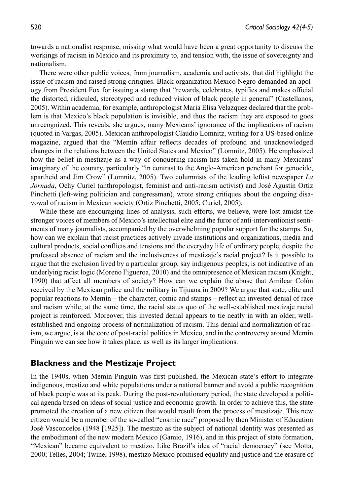towards a nationalist response, missing what would have been a great opportunity to discuss the workings of racism in Mexico and its proximity to, and tension with, the issue of sovereignty and nationalism.

There were other public voices, from journalism, academia and activists, that did highlight the issue of racism and raised strong critiques. Black organization Mexico Negro demanded an apology from President Fox for issuing a stamp that "rewards, celebrates, typifies and makes official the distorted, ridiculed, stereotyped and reduced vision of black people in general" (Castellanos, 2005). Within academia, for example, anthropologist Maria Elisa Velazquez declared that the problem is that Mexico's black population is invisible, and thus the racism they are exposed to goes unrecognized. This reveals, she argues, many Mexicans' ignorance of the implications of racism (quoted in Vargas, 2005). Mexican anthropologist Claudio Lomnitz, writing for a US-based online magazine, argued that the "Memín affair reflects decades of profound and unacknowledged changes in the relations between the United States and Mexico" (Lomnitz, 2005). He emphasized how the belief in mestizaje as a way of conquering racism has taken hold in many Mexicans' imaginary of the country, particularly "in contrast to the Anglo-American penchant for genocide, apartheid and Jim Crow" (Lomnitz, 2005). Two columnists of the leading leftist newspaper *La Jornada*, Ochy Curiel (anthropologist, feminist and anti-racism activist) and José Agustín Ortíz Pinchetti (left-wing politician and congressman), wrote strong critiques about the ongoing disavowal of racism in Mexican society (Ortiz Pinchetti, 2005; Curiel, 2005).

While these are encouraging lines of analysis, such efforts, we believe, were lost amidst the stronger voices of members of Mexico's intellectual elite and the furor of anti-interventionist sentiments of many journalists, accompanied by the overwhelming popular support for the stamps. So, how can we explain that racist practices actively invade institutions and organizations, media and cultural products, social conflicts and tensions and the everyday life of ordinary people, despite the professed absence of racism and the inclusiveness of mestizaje's racial project? Is it possible to argue that the exclusion lived by a particular group, say indigenous peoples, is not indicative of an underlying racist logic (Moreno Figueroa, 2010) and the omnipresence of Mexican racism (Knight, 1990) that affect all members of society? How can we explain the abuse that Amílcar Colón received by the Mexican police and the military in Tijuana in 2009? We argue that state, elite and popular reactions to Memín – the character, comic and stamps – reflect an invested denial of race and racism while, at the same time, the racial status quo of the well-established mestizaje racial project is reinforced. Moreover, this invested denial appears to tie neatly in with an older, wellestablished and ongoing process of normalization of racism. This denial and normalization of racism, we argue, is at the core of post-racial politics in Mexico, and in the controversy around Memín Pinguín we can see how it takes place, as well as its larger implications.

### **Blackness and the Mestizaje Project**

In the 1940s, when Memín Pinguín was first published, the Mexican state's effort to integrate indigenous, mestizo and white populations under a national banner and avoid a public recognition of black people was at its peak. During the post-revolutionary period, the state developed a political agenda based on ideas of social justice and economic growth. In order to achieve this, the state promoted the creation of a new citizen that would result from the process of mestizaje. This new citizen would be a member of the so-called "cosmic race" proposed by then Minister of Education José Vasconcelos (1948 [1925]). The mestizo as the subject of national identity was presented as the embodiment of the new modern Mexico (Gamio, 1916), and in this project of state formation, "Mexican" became equivalent to mestizo. Like Brazil's idea of "racial democracy" (see Motta, 2000; Telles, 2004; Twine, 1998), mestizo Mexico promised equality and justice and the erasure of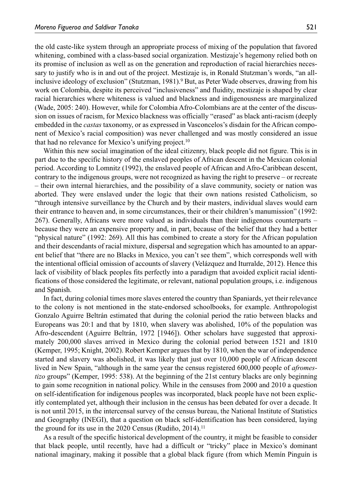the old caste-like system through an appropriate process of mixing of the population that favored whitening, combined with a class-based social organization. Mestizaje's hegemony relied both on its promise of inclusion as well as on the generation and reproduction of racial hierarchies necessary to justify who is in and out of the project. Mestizaje is, in Ronald Stutzman's words, "an allinclusive ideology of exclusion" (Stutzman, 1981).9 But, as Peter Wade observes, drawing from his work on Colombia, despite its perceived "inclusiveness" and fluidity, mestizaje is shaped by clear racial hierarchies where whiteness is valued and blackness and indigenousness are marginalized (Wade, 2005: 240). However, while for Colombia Afro-Colombians are at the center of the discussion on issues of racism, for Mexico blackness was officially "erased" as black anti-racism (deeply embedded in the *castas* taxonomy, or as expressed in Vasconcelos's disdain for the African compo-

nent of Mexico's racial composition) was never challenged and was mostly considered an issue

that had no relevance for Mexico's unifying project.10 Within this new social imagination of the ideal citizenry, black people did not figure. This is in part due to the specific history of the enslaved peoples of African descent in the Mexican colonial period. According to Lomnitz (1992), the enslaved people of African and Afro-Caribbean descent, contrary to the indigenous groups, were not recognized as having the right to preserve – or recreate – their own internal hierarchies, and the possibility of a slave community, society or nation was aborted. They were enslaved under the logic that their own nations resisted Catholicism, so "through intensive surveillance by the Church and by their masters, individual slaves would earn their entrance to heaven and, in some circumstances, their or their children's manumission" (1992: 267). Generally, Africans were more valued as individuals than their indigenous counterparts – because they were an expensive property and, in part, because of the belief that they had a better "physical nature" (1992: 269). All this has combined to create a story for the African population and their descendants of racial mixture, dispersal and segregation which has amounted to an apparent belief that "there are no Blacks in Mexico, you can't see them", which corresponds well with the intentional official omission of accounts of slavery (Velázquez and Iturralde, 2012). Hence this lack of visibility of black peoples fits perfectly into a paradigm that avoided explicit racial identifications of those considered the legitimate, or relevant, national population groups, i.e. indigenous and Spanish.

In fact, during colonial times more slaves entered the country than Spaniards, yet their relevance to the colony is not mentioned in the state-endorsed schoolbooks, for example. Anthropologist Gonzalo Aguirre Beltrán estimated that during the colonial period the ratio between blacks and Europeans was 20:1 and that by 1810, when slavery was abolished, 10% of the population was Afro-descendent (Aguirre Beltrán, 1972 [1946]). Other scholars have suggested that approximately 200,000 slaves arrived in Mexico during the colonial period between 1521 and 1810 (Kemper, 1995; Knight, 2002). Robert Kemper argues that by 1810, when the war of independence started and slavery was abolished, it was likely that just over 10,000 people of African descent lived in New Spain, "although in the same year the census registered 600,000 people of *afromestizo* groups" (Kemper, 1995: 538). At the beginning of the 21st century blacks are only beginning to gain some recognition in national policy. While in the censuses from 2000 and 2010 a question on self-identification for indigenous peoples was incorporated, black people have not been explicitly contemplated yet, although their inclusion in the census has been debated for over a decade. It is not until 2015, in the intercensal survey of the census bureau, the National Institute of Statistics and Geography (INEGI), that a question on black self-identification has been considered, laying the ground for its use in the  $2020$  Census (Rudiño,  $2014$ ).<sup>11</sup>

As a result of the specific historical development of the country, it might be feasible to consider that black people, until recently, have had a difficult or "tricky" place in Mexico's dominant national imaginary, making it possible that a global black figure (from which Memín Pinguín is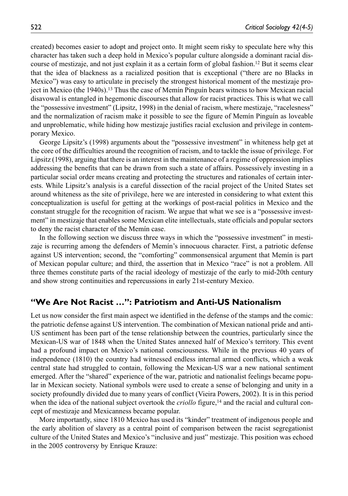created) becomes easier to adopt and project onto. It might seem risky to speculate here why this character has taken such a deep hold in Mexico's popular culture alongside a dominant racial discourse of mestizaje, and not just explain it as a certain form of global fashion.12 But it seems clear that the idea of blackness as a racialized position that is exceptional ("there are no Blacks in Mexico") was easy to articulate in precisely the strongest historical moment of the mestizaje project in Mexico (the 1940s).13 Thus the case of Memín Pinguín bears witness to how Mexican racial disavowal is entangled in hegemonic discourses that allow for racist practices. This is what we call the "possessive investment" (Lipsitz, 1998) in the denial of racism, where mestizaje, "racelesness" and the normalization of racism make it possible to see the figure of Memín Pinguín as loveable and unproblematic, while hiding how mestizaje justifies racial exclusion and privilege in contemporary Mexico.

George Lipsitz's (1998) arguments about the "possessive investment" in whiteness help get at the core of the difficulties around the recognition of racism, and to tackle the issue of privilege. For Lipsitz (1998), arguing that there is an interest in the maintenance of a regime of oppression implies addressing the benefits that can be drawn from such a state of affairs. Possessively investing in a particular social order means creating and protecting the structures and rationales of certain interests. While Lipsitz's analysis is a careful dissection of the racial project of the United States set around whiteness as the site of privilege, here we are interested in considering to what extent this conceptualization is useful for getting at the workings of post-racial politics in Mexico and the constant struggle for the recognition of racism. We argue that what we see is a "possessive investment" in mestizaje that enables some Mexican elite intellectuals, state officials and popular sectors to deny the racist character of the Memín case.

In the following section we discuss three ways in which the "possessive investment" in mestizaje is recurring among the defenders of Memín's innocuous character. First, a patriotic defense against US intervention; second, the "comforting" commonsensical argument that Memín is part of Mexican popular culture; and third, the assertion that in Mexico "race" is not a problem. All three themes constitute parts of the racial ideology of mestizaje of the early to mid-20th century and show strong continuities and repercussions in early 21st-century Mexico.

# **"We Are Not Racist …": Patriotism and Anti-US Nationalism**

Let us now consider the first main aspect we identified in the defense of the stamps and the comic: the patriotic defense against US intervention. The combination of Mexican national pride and anti-US sentiment has been part of the tense relationship between the countries, particularly since the Mexican-US war of 1848 when the United States annexed half of Mexico's territory. This event had a profound impact on Mexico's national consciousness. While in the previous 40 years of independence (1810) the country had witnessed endless internal armed conflicts, which a weak central state had struggled to contain, following the Mexican-US war a new national sentiment emerged. After the "shared" experience of the war, patriotic and nationalist feelings became popular in Mexican society. National symbols were used to create a sense of belonging and unity in a society profoundly divided due to many years of conflict (Vieira Powers, 2002). It is in this period when the idea of the national subject overtook the *criollo* figure,<sup>14</sup> and the racial and cultural concept of mestizaje and Mexicanness became popular.

More importantly, since 1810 Mexico has used its "kinder" treatment of indigenous people and the early abolition of slavery as a central point of comparison between the racist segregationist culture of the United States and Mexico's "inclusive and just" mestizaje. This position was echoed in the 2005 controversy by Enrique Krauze: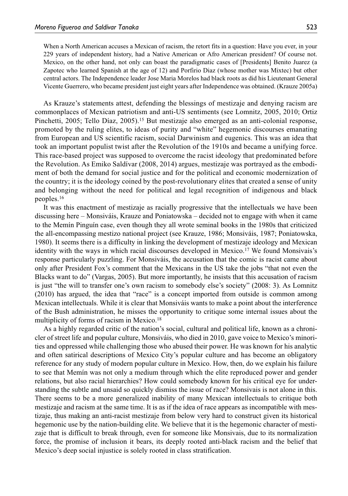When a North American accuses a Mexican of racism, the retort fits in a question: Have you ever, in your 229 years of independent history, had a Native American or Afro American president? Of course not. Mexico, on the other hand, not only can boast the paradigmatic cases of [Presidents] Benito Juarez (a Zapotec who learned Spanish at the age of 12) and Porfirio Diaz (whose mother was Mixtec) but other central actors. The Independence leader Jose Maria Morelos had black roots as did his Lieutenant General Vicente Guerrero, who became president just eight years after Independence was obtained. (Krauze 2005a)

As Krauze's statements attest, defending the blessings of mestizaje and denying racism are commonplaces of Mexican patriotism and anti-US sentiments (see Lomnitz, 2005, 2010; Ortiz Pinchetti, 2005; Tello Díaz, 2005).<sup>15</sup> But mestizaje also emerged as an anti-colonial response, promoted by the ruling elites, to ideas of purity and "white" hegemonic discourses emanating from European and US scientific racism, social Darwinism and eugenics. This was an idea that took an important populist twist after the Revolution of the 1910s and became a unifying force. This race-based project was supposed to overcome the racist ideology that predominated before the Revolution. As Emiko Saldívar (2008, 2014) argues, mestizaje was portrayed as the embodiment of both the demand for social justice and for the political and economic modernization of the country; it is the ideology coined by the post-revolutionary elites that created a sense of unity and belonging without the need for political and legal recognition of indigenous and black peoples.16

It was this enactment of mestizaje as racially progressive that the intellectuals we have been discussing here – Monsiváis, Krauze and Poniatowska – decided not to engage with when it came to the Memín Pinguín case, even though they all wrote seminal books in the 1980s that criticized the all-encompassing mestizo national project (see Krauze, 1986; Monsiváis, 1987; Poniatowska, 1980). It seems there is a difficulty in linking the development of mestizaje ideology and Mexican identity with the ways in which racial discourses developed in Mexico.17 We found Monsivais's response particularly puzzling. For Monsiváis, the accusation that the comic is racist came about only after President Fox's comment that the Mexicans in the US take the jobs "that not even the Blacks want to do" (Vargas, 2005). But more importantly, he insists that this accusation of racism is just "the will to transfer one's own racism to somebody else's society" (2008: 3). As Lomnitz (2010) has argued, the idea that "race" is a concept imported from outside is common among Mexican intellectuals. While it is clear that Monsiváis wants to make a point about the interference of the Bush administration, he misses the opportunity to critique some internal issues about the multiplicity of forms of racism in Mexico.<sup>18</sup>

As a highly regarded critic of the nation's social, cultural and political life, known as a chronicler of street life and popular culture, Monsiváis, who died in 2010, gave voice to Mexico's minorities and oppressed while challenging those who abused their power. He was known for his analytic and often satirical descriptions of Mexico City's popular culture and has become an obligatory reference for any study of modern popular culture in Mexico. How, then, do we explain his failure to see that Memín was not only a medium through which the elite reproduced power and gender relations, but also racial hierarchies? How could somebody known for his critical eye for understanding the subtle and unsaid so quickly dismiss the issue of race? Monsivais is not alone in this. There seems to be a more generalized inability of many Mexican intellectuals to critique both mestizaje and racism at the same time. It is as if the idea of race appears as incompatible with mestizaje, thus making an anti-racist mestizaje from below very hard to construct given its historical hegemonic use by the nation-building elite. We believe that it is the hegemonic character of mestizaje that is difficult to break through, even for someone like Monsivais, due to its normalization force, the promise of inclusion it bears, its deeply rooted anti-black racism and the belief that Mexico's deep social injustice is solely rooted in class stratification.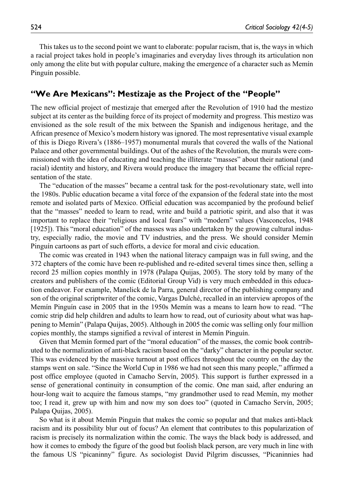This takes us to the second point we want to elaborate: popular racism, that is, the ways in which a racial project takes hold in people's imaginaries and everyday lives through its articulation non only among the elite but with popular culture, making the emergence of a character such as Memín Pinguín possible.

## **"We Are Mexicans": Mestizaje as the Project of the "People"**

The new official project of mestizaje that emerged after the Revolution of 1910 had the mestizo subject at its center as the building force of its project of modernity and progress. This mestizo was envisioned as the sole result of the mix between the Spanish and indigenous heritage, and the African presence of Mexico's modern history was ignored. The most representative visual example of this is Diego Rivera's (1886–1957) monumental murals that covered the walls of the National Palace and other governmental buildings. Out of the ashes of the Revolution, the murals were commissioned with the idea of educating and teaching the illiterate "masses" about their national (and racial) identity and history, and Rivera would produce the imagery that became the official representation of the state.

The "education of the masses" became a central task for the post-revolutionary state, well into the 1980s. Public education became a vital force of the expansion of the federal state into the most remote and isolated parts of Mexico. Official education was accompanied by the profound belief that the "masses" needed to learn to read, write and build a patriotic spirit, and also that it was important to replace their "religious and local fears" with "modern" values (Vasconcelos, 1948 [1925]). This "moral education" of the masses was also undertaken by the growing cultural industry, especially radio, the movie and TV industries, and the press. We should consider Memín Pinguín cartoons as part of such efforts, a device for moral and civic education.

The comic was created in 1943 when the national literacy campaign was in full swing, and the 372 chapters of the comic have been re-published and re-edited several times since then, selling a record 25 million copies monthly in 1978 (Palapa Quijas, 2005). The story told by many of the creators and publishers of the comic (Editorial Group Vid) is very much embedded in this education endeavor. For example, Manelick de la Parra, general director of the publishing company and son of the original scriptwriter of the comic, Vargas Dulché, recalled in an interview apropos of the Memín Pinguín case in 2005 that in the 1950s Memín was a means to learn how to read. "The comic strip did help children and adults to learn how to read, out of curiosity about what was happening to Memín" (Palapa Quijas, 2005). Although in 2005 the comic was selling only four million copies monthly, the stamps signified a revival of interest in Memín Pinguín.

Given that Memín formed part of the "moral education" of the masses, the comic book contributed to the normalization of anti-black racism based on the "darky" character in the popular sector. This was evidenced by the massive turnout at post offices throughout the country on the day the stamps went on sale. "Since the World Cup in 1986 we had not seen this many people," affirmed a post office employee (quoted in Camacho Servín, 2005). This support is further expressed in a sense of generational continuity in consumption of the comic. One man said, after enduring an hour-long wait to acquire the famous stamps, "my grandmother used to read Memín, my mother too; I read it, grew up with him and now my son does too" (quoted in Camacho Servín, 2005; Palapa Quijas, 2005).

So what is it about Memín Pinguín that makes the comic so popular and that makes anti-black racism and its possibility blur out of focus? An element that contributes to this popularization of racism is precisely its normalization within the comic. The ways the black body is addressed, and how it comes to embody the figure of the good but foolish black person, are very much in line with the famous US "picaninny" figure. As sociologist David Pilgrim discusses, "Picaninnies had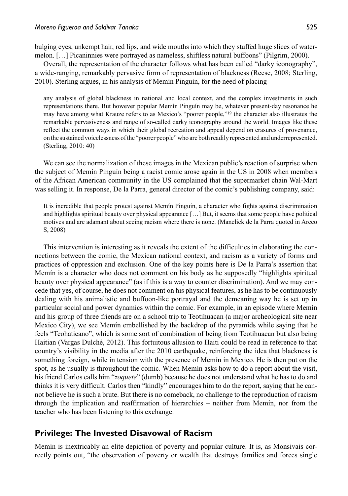bulging eyes, unkempt hair, red lips, and wide mouths into which they stuffed huge slices of watermelon. […] Picaninnies were portrayed as nameless, shiftless natural buffoons" (Pilgrim, 2000).

Overall, the representation of the character follows what has been called "darky iconography", a wide-ranging, remarkably pervasive form of representation of blackness (Reese, 2008; Sterling, 2010). Sterling argues, in his analysis of Memín Pinguín, for the need of placing

any analysis of global blackness in national and local context, and the complex investments in such representations there. But however popular Memín Pinguín may be, whatever present-day resonance he may have among what Krauze refers to as Mexico's "poorer people,"19 the character also illustrates the remarkable pervasiveness and range of so-called darky iconography around the world. Images like these reflect the common ways in which their global recreation and appeal depend on erasures of provenance, on the sustained voicelessness of the "poorer people" who are both readily represented and underrepresented. (Sterling, 2010: 40)

We can see the normalization of these images in the Mexican public's reaction of surprise when the subject of Memín Pinguín being a racist comic arose again in the US in 2008 when members of the African American community in the US complained that the supermarket chain Wal-Mart was selling it. In response, De la Parra, general director of the comic's publishing company, said:

It is incredible that people protest against Memín Pinguín, a character who fights against discrimination and highlights spiritual beauty over physical appearance […] But, it seems that some people have political motives and are adamant about seeing racism where there is none. (Manelick de la Parra quoted in Arceo S, 2008)

This intervention is interesting as it reveals the extent of the difficulties in elaborating the connections between the comic, the Mexican national context, and racism as a variety of forms and practices of oppression and exclusion. One of the key points here is De la Parra's assertion that Memín is a character who does not comment on his body as he supposedly "highlights spiritual beauty over physical appearance" (as if this is a way to counter discrimination). And we may concede that yes, of course, he does not comment on his physical features, as he has to be continuously dealing with his animalistic and buffoon-like portrayal and the demeaning way he is set up in particular social and power dynamics within the comic. For example, in an episode where Memín and his group of three friends are on a school trip to Teotihuacan (a major archeological site near Mexico City), we see Memín embellished by the backdrop of the pyramids while saying that he feels "Teohaticano", which is some sort of combination of being from Teotihuacan but also being Haitian (Vargas Dulché, 2012). This fortuitous allusion to Haiti could be read in reference to that country's visibility in the media after the 2010 earthquake, reinforcing the idea that blackness is something foreign, while in tension with the presence of Memín in Mexico. He is then put on the spot, as he usually is throughout the comic. When Memín asks how to do a report about the visit, his friend Carlos calls him "*zoquete*" (dumb) because he does not understand what he has to do and thinks it is very difficult. Carlos then "kindly" encourages him to do the report, saying that he cannot believe he is such a brute. But there is no comeback, no challenge to the reproduction of racism through the implication and reaffirmation of hierarchies – neither from Memín, nor from the teacher who has been listening to this exchange.

# **Privilege: The Invested Disavowal of Racism**

Memín is inextricably an elite depiction of poverty and popular culture. It is, as Monsivais correctly points out, "the observation of poverty or wealth that destroys families and forces single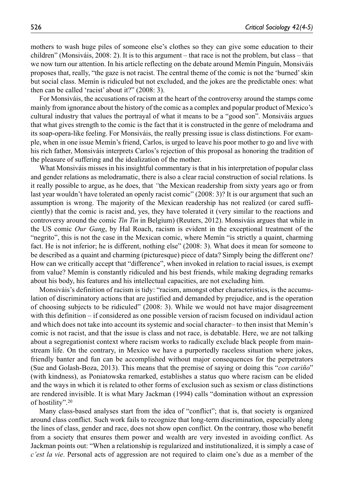mothers to wash huge piles of someone else's clothes so they can give some education to their children" (Monsiváis, 2008: 2). It is to this argument – that race is not the problem, but class – that we now turn our attention. In his article reflecting on the debate around Memín Pinguín, Monsiváis proposes that, really, "the gaze is not racist. The central theme of the comic is not the 'burned' skin but social class. Memín is ridiculed but not excluded, and the jokes are the predictable ones: what then can be called 'racist' about it?" (2008: 3).

For Monsiváis, the accusations of racism at the heart of the controversy around the stamps come mainly from ignorance about the history of the comic as a complex and popular product of Mexico's cultural industry that values the portrayal of what it means to be a "good son". Monsiváis argues that what gives strength to the comic is the fact that it is constructed in the genre of melodrama and its soap-opera-like feeling. For Monsiváis, the really pressing issue is class distinctions. For example, when in one issue Memín's friend, Carlos, is urged to leave his poor mother to go and live with his rich father, Monsiváis interprets Carlos's rejection of this proposal as honoring the tradition of the pleasure of suffering and the idealization of the mother.

What Monsiváis misses in his insightful commentary is that in his interpretation of popular class and gender relations as melodramatic, there is also a clear racial construction of social relations. Is it really possible to argue, as he does, that *"*the Mexican readership from sixty years ago or from last year wouldn't have tolerated an openly racist comic" (2008: 3)? It is our argument that such an assumption is wrong. The majority of the Mexican readership has not realized (or cared sufficiently) that the comic is racist and, yes, they have tolerated it (very similar to the reactions and controversy around the comic *Tin Tin* in Belgium) (Reuters, 2012). Monsiváis argues that while in the US comic *Our Gang*, by Hal Roach, racism is evident in the exceptional treatment of the "negrito", this is not the case in the Mexican comic, where Memín "is strictly a quaint, charming fact. He is not inferior; he is different, nothing else" (2008: 3). What does it mean for someone to be described as a quaint and charming (picturesque) piece of data? Simply being the different one? How can we critically accept that "difference", when invoked in relation to racial issues, is exempt from value? Memín is constantly ridiculed and his best friends, while making degrading remarks about his body, his features and his intellectual capacities, are not excluding him.

Monsiváis's definition of racism is tidy: "racism, amongst other characteristics, is the accumulation of discriminatory actions that are justified and demanded by prejudice, and is the operation of choosing subjects to be ridiculed" (2008: 3). While we would not have major disagreement with this definition – if considered as one possible version of racism focused on individaul action and which does not take into account its systemic and social character– to then insist that Memín's comic is not racist, and that the issue is class and not race, is debatable. Here, we are not talking about a segregationist context where racism works to radically exclude black people from mainstream life. On the contrary, in Mexico we have a purportedly raceless situation where jokes, friendly banter and fun can be accomplished without major consequences for the perpetrators (Sue and Golash-Boza, 2013). This means that the premise of saying or doing this "*con cariño*" (with kindness), as Poniatowska remarked, establishes a status quo where racism can be elided and the ways in which it is related to other forms of exclusion such as sexism or class distinctions are rendered invisible. It is what Mary Jackman (1994) calls "domination without an expression of hostility".20

Many class-based analyses start from the idea of "conflict"; that is, that society is organized around class conflict. Such work fails to recognize that long-term discrimination, especially along the lines of class, gender and race, does not show open conflict. On the contrary, those who benefit from a society that ensures them power and wealth are very invested in avoiding conflict. As Jackman points out: "When a relationship is regularized and institutionalized, it is simply a case of *c'est la vie*. Personal acts of aggression are not required to claim one's due as a member of the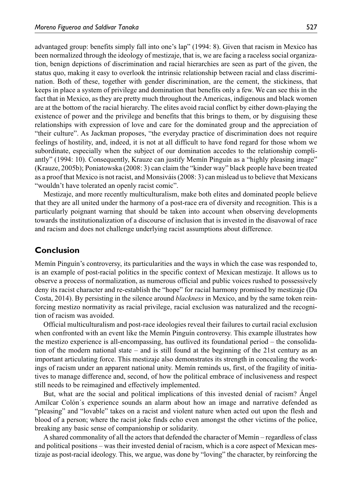advantaged group: benefits simply fall into one's lap" (1994: 8). Given that racism in Mexico has been normalized through the ideology of mestizaje, that is, we are facing a raceless social organization, benign depictions of discrimination and racial hierarchies are seen as part of the given, the status quo, making it easy to overlook the intrinsic relationship between racial and class discrimination. Both of these, together with gender discrimination, are the cement, the stickiness, that keeps in place a system of privilege and domination that benefits only a few. We can see this in the fact that in Mexico, as they are pretty much throughout the Americas, indigenous and black women are at the bottom of the racial hierarchy. The elites avoid racial conflict by either down-playing the existence of power and the privilege and benefits that this brings to them, or by disguising these relationships with expression of love and care for the dominated group and the appreciation of "their culture". As Jackman proposes, "the everyday practice of discrimination does not require feelings of hostility, and, indeed, it is not at all difficult to have fond regard for those whom we subordinate, especially when the subject of our domination accedes to the relationship compliantly" (1994: 10). Consequently, Krauze can justify Memín Pinguín as a "highly pleasing image" (Krauze, 2005b); Poniatowska (2008: 3) can claim the "kinder way" black people have been treated as a proof that Mexico is not racist, and Monsiváis (2008: 3) can mislead us to believe that Mexicans "wouldn't have tolerated an openly racist comic".

Mestizaje, and more recently multiculturalism, make both elites and dominated people believe that they are all united under the harmony of a post-race era of diversity and recognition. This is a particularly poignant warning that should be taken into account when observing developments towards the institutionalization of a discourse of inclusion that is invested in the disavowal of race and racism and does not challenge underlying racist assumptions about difference.

## **Conclusion**

Memín Pinguín's controversy, its particularities and the ways in which the case was responded to, is an example of post-racial politics in the specific context of Mexican mestizaje. It allows us to observe a process of normalization, as numerous official and public voices rushed to possessively deny its racist character and re-establish the "hope" for racial harmony promised by mestizaje (Da Costa, 2014). By persisting in the silence around *blackness* in Mexico, and by the same token reinforcing mestizo normativity as racial privilege, racial exclusion was naturalized and the recognition of racism was avoided.

Official multiculturalism and post-race ideologies reveal their failures to curtail racial exclusion when confronted with an event like the Memín Pinguín controversy. This example illustrates how the mestizo experience is all-encompassing, has outlived its foundational period – the consolidation of the modern national state – and is still found at the beginning of the 21st century as an important articulating force. This mestizaje also demonstrates its strength in concealing the workings of racism under an apparent national unity. Memín reminds us, first, of the fragility of initiatives to manage difference and, second, of how the political embrace of inclusiveness and respect still needs to be reimagined and effectively implemented.

But, what are the social and political implications of this invested denial of racism? Ángel Amílcar Colón´s experience sounds an alarm about how an image and narrative defended as "pleasing" and "lovable" takes on a racist and violent nature when acted out upon the flesh and blood of a person; where the racist joke finds echo even amongst the other victims of the police, breaking any basic sense of companionship or solidarity.

A shared commonality of all the actors that defended the character of Memín – regardless of class and political positions – was their invested denial of racism, which is a core aspect of Mexican mestizaje as post-racial ideology. This, we argue, was done by "loving" the character, by reinforcing the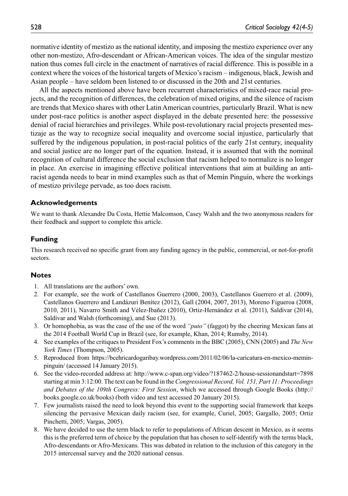normative identity of mestizo as the national identity, and imposing the mestizo experience over any other non-mestizo, Afro-descendant or African-American voices. The idea of the singular mestizo nation thus comes full circle in the enactment of narratives of racial difference. This is possible in a context where the voices of the historical targets of Mexico's racism – indigenous, black, Jewish and Asian people – have seldom been listened to or discussed in the 20th and 21st centuries.

All the aspects mentioned above have been recurrent characteristics of mixed-race racial projects, and the recognition of differences, the celebration of mixed origins, and the silence of racism are trends that Mexico shares with other Latin American countries, particularly Brazil. What is new under post-race politics is another aspect displayed in the debate presented here: the possessive denial of racial hierarchies and privileges. While post-revolutionary racial projects presented mestizaje as the way to recognize social inequality and overcome social injustice, particularly that suffered by the indigenous population, in post-racial politics of the early 21st century, inequality and social justice are no longer part of the equation. Instead, it is assumed that with the nominal recognition of cultural difference the social exclusion that racism helped to normalize is no longer in place. An exercise in imagining effective political interventions that aim at building an antiracist agenda needs to bear in mind examples such as that of Memín Pinguín, where the workings of mestizo privilege pervade, as too does racism.

#### **Acknowledgements**

We want to thank Alexandre Da Costa, Hettie Malcomson, Casey Walsh and the two anonymous readers for their feedback and support to complete this article.

#### **Funding**

This research received no specific grant from any funding agency in the public, commercial, or not-for-profit sectors.

#### **Notes**

- 1. All translations are the authors' own.
- 2. For example, see the work of Castellanos Guerrero (2000, 2003), Castellanos Guerrero et al. (2009), Castellanos Guerrero and Landázuri Benítez (2012), Gall (2004, 2007, 2013), Moreno Figueroa (2008, 2010, 2011), Navarro Smith and Vélez-Ibañez (2010), Ortiz-Hernández et al. (2011), Saldívar (2014), Saldívar and Walsh (forthcoming), and Sue (2013).
- 3. Or homophobia, as was the case of the use of the word *"puto"* (faggot) by the cheering Mexican fans at the 2014 Football World Cup in Brazil (see, for example, Khan, 2014; Rumsby, 2014).
- 4. See examples of the critiques to President Fox's comments in the BBC (2005), CNN (2005) and *The New York Times* (Thompson, 2005).
- 5. Reproduced from [https://bcehricardogaribay.wordpress.com/2011/02/06/la-caricatura-en-mexico-memin](https://bcehricardogaribay.wordpress.com/2011/02/06/la-caricatura-en-mexico-memin-pinguin/ (accessed 14 January 2015))[pinguin/ \(accessed 14 January 2015\).](https://bcehricardogaribay.wordpress.com/2011/02/06/la-caricatura-en-mexico-memin-pinguin/ (accessed 14 January 2015))
- 6. See the video-recorded address at: [http://www.c-span.org/video/?187462-2/house-sessionandstart=7898](http://www.c-span.org/video/?187462-2/house-sessionandstart=7898 starting at min 3:12:00. The text can be found in the )  [starting at min 3:12:00. The text can be found in the](http://www.c-span.org/video/?187462-2/house-sessionandstart=7898 starting at min 3:12:00. The text can be found in the ) *Congressional Record, Vol. 151, Part 11: Proceedings and Debates of the 109th Congress: First Session*, which we accessed through Google Books [\(http://](http://books.google.co.uk/books) (both video and text accessed 20 January 2015)) [books.google.co.uk/books\) \(both video and text accessed 20 January 2015\).](http://books.google.co.uk/books) (both video and text accessed 20 January 2015))
- 7. Few journalists raised the need to look beyond this event to the supporting social framework that keeps silencing the pervasive Mexican daily racism (see, for example, Curiel, 2005; Gargallo, 2005; Ortiz Pinchetti, 2005; Vargas, 2005).
- 8. We have decided to use the term black to refer to populations of African descent in Mexico, as it seems this is the preferred term of choice by the population that has chosen to self-identify with the terms black, Afro-descendants or Afro-Mexicans. This was debated in relation to the inclusion of this category in the 2015 intercensal survey and the 2020 national census.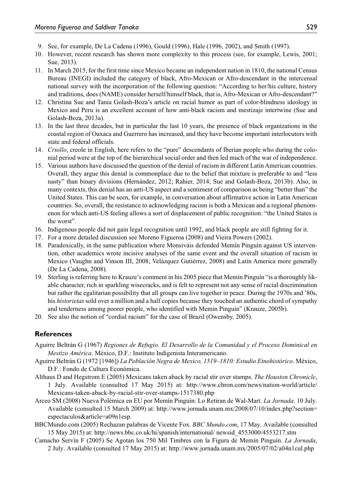- 9. See, for example, De La Cadena (1996), Gould (1996), Hale (1996, 2002), and Smith (1997).
- 10. However, recent research has shown more complexity to this process (see, for example, Lewis, 2001; Sue, 2013).
- 11. In March 2015, for the first time since Mexico became an independent nation in 1810, the national Census Bureau (INEGI) included the category of black, Afro-Mexican or Afro-descendant in the intercensal national survey with the incorporation of the following question: "According to her/his culture, history and traditions, does (NAME) consider herself/himself black, that is, Afro-Mexican or Afro-descendant?"
- 12. Christina Sue and Tania Golash-Boza's article on racial humor as part of color-blindness ideology in Mexico and Peru is an excellent account of how anti-black racism and mestizaje intertwine (Sue and Golash-Boza, 2013a).
- 13. In the last three decades, but in particular the last 10 years, the presence of black organizations in the coastal region of Oaxaca and Guerrero has increased, and they have become important interlocutors with state and federal officials.
- 14. *Criollo*, creole in English, here refers to the "pure" descendants of Iberian people who during the colonial period were at the top of the hierarchical social order and then led much of the war of independence.
- 15. Various authors have discussed the question of the denial of racism in different Latin American countries. Overall, they argue this denial is commonplace due to the belief that mixture is preferable to and "less nasty" than binary divisions (Hernández, 2012; Rahier, 2014; Sue and Golash-Boza, 2013b). Also, in many contexts, this denial has an anti-US aspect and a sentiment of comparison as being "better than" the United States. This can be seen, for example, in conversation about affirmative action in Latin American countries. So, overall, the resistance to acknowledging racism is both a Mexican and a regional phenomenon for which anti-US feeling allows a sort of displacement of public recognition: "the United States is the worst".
- 16. Indigenous people did not gain legal recognition until 1992, and black people are still fighting for it.
- 17. For a more detailed discussion see Moreno Figueroa (2008) and Vieira Powers (2002).
- 18. Paradoxically, in the same publication where Monsiváis defended Memín Pinguín against US intervention, other academics wrote incisive analyses of the same event and the overall situation of racism in Mexico (Vaughn and Vinson III, 2008; Velázquez Gutiérrez, 2008) and Latin America more generally (De La Cadena, 2008).
- 19. Sterling is referring here to Krauze's comment in his 2005 piece that Memín Pinguín "is a thoroughly likable character, rich in sparkling wisecracks, and is felt to represent not any sense of racial discrimination but rather the egalitarian possibility that all groups can live together in peace. During the 1970s and '80s, his *historietas* sold over a million and a half copies because they touched an authentic chord of sympathy and tenderness among poorer people, who identified with Memin Pinguin" (Krauze, 2005b).
- 20. See also the notion of "cordial racism" for the case of Brazil (Owensby, 2005).

#### **References**

- Aguirre Beltrán G (1967) *Regiones de Refugio. El Desarrollo de la Comunidad y el Proceso Dominical en Mestizo América*. México, D.F.: Instituto Indigenista Interamericano.
- Aguirre Beltrán G (1972 [1946]) *La Población Negra de Mexico, 1519–1810: Estudio Etnohistórico*. México, D.F.: Fondo de Cultura Económica.
- Althaus D and Hegstrom E (2005) Mexicans taken aback by racial stir over stamps. *The Houston Chronicle*, 1 July. Available (consulted 17 May 2015) at: [http://www.chron.com/news/nation-world/article/](http://www.chron.com/news/nation-world/article/Mexicans-taken-aback-by-racial-stir-over-stamps-1517380.php) [Mexicans-taken-aback-by-racial-stir-over-stamps-1517380.php](http://www.chron.com/news/nation-world/article/Mexicans-taken-aback-by-racial-stir-over-stamps-1517380.php)
- Arceo SM (2008) Nueva Polémica en EU por Memín Pinguín: Lo Retiran de Wal-Mart. *La Jornada*. 10 July. Available (consulted 15 March 2009) at: [http://www.jornada.unam.mx/2008/07/10/index.php?section=](http://www.jornada.unam.mx/2008/07/10/index.php?section=espectaculos&article=a09n1esp) [espectaculos&article=a09n1esp](http://www.jornada.unam.mx/2008/07/10/index.php?section=espectaculos&article=a09n1esp).
- BBCMundo.com (2005) Rechazan palabras de Vicente Fox. *BBC Mundo.com*, 17 May. Available (consulted 15 May 2015) at: [http://news.bbc.co.uk/hi/spanish/international/ newsid\\_4553000/4553217.stm](http://news.bbc.co.uk/hi/spanish/international/ newsid_4553000/4553217.stm)
- Camacho Servín F (2005) Se Agotan los 750 Mil Timbres con la Figura de Memín Pinguín. *La Jornada*, 2 July. Available (consulted 17 May 2015) at: <http://www.jornada.unam.mx/2005/07/02/a04n1cul.php>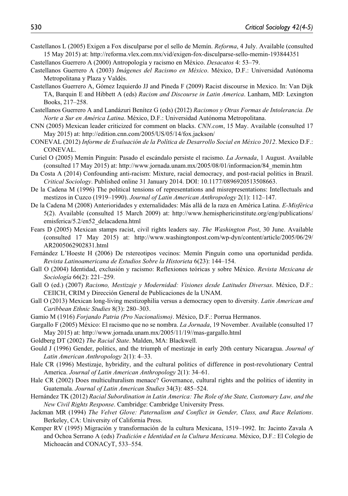- Castellanos L (2005) Exigen a Fox disculparse por el sello de Memín. *Reforma*, 4 July. Available (consulted 15 May 2015) at:<http://reforma.vlex.com.mx/vid/exigen-fox-disculparse-sello-memin-193844351>
- Castellanos Guerrero A (2000) Antropología y racismo en México. *Desacatos* 4: 53–79.
- Castellanos Guerrero A (2003) *Imágenes del Racismo en México*. México, D.F.: Universidad Autónoma Metropolitana y Plaza y Valdés.
- Castellanos Guerrero A, Gómez Izquierdo JJ and Pineda F (2009) Racist discourse in Mexico. In: Van Dijk TA, Barquin E and Hibbett A (eds) *Racism and Discourse in Latin America*. Lanham, MD: Lexington Books, 217–258.
- Castellanos Guerrero A and Landázuri Benítez G (eds) (2012) *Racismos y Otras Formas de Intolerancia. De Norte a Sur en América Latina*. México, D.F.: Universidad Autónoma Metropolitana.
- CNN (2005) Mexican leader criticized for comment on blacks. *CNN.com*, 15 May. Available (consulted 17 May 2015) at: <http://edition.cnn.com/2005/US/05/14/fox.jackson/>
- CONEVAL (2012) *Informe de Evaluación de la Política de Desarrollo Social en México 2012*. Mexico D.F.: CONEVAL.
- Curiel O (2005) Memín Pinguín: Pasado el escándalo persiste el racismo. *La Jornada*, 1 August. Available (consulted 17 May 2015) at: [http://www.jornada.unam.mx/2005/08/01/informacion/84\\_memin.htm](http://www.jornada.unam.mx/2005/08/01/informacion/84_memin.htm)
- Da Costa A (2014) Confounding anti-racism: Mixture, racial democracy, and post-racial politics in Brazil. *Critical Sociology*. Published online 31 January 2014. DOI: 10.1177/0896920513508663.
- De la Cadena M (1996) The political tensions of representations and misrepresentations: Intellectuals and mestizos in Cuzco (1919–1990). *Journal of Latin American Anthropology* 2(1): 112–147.
- De la Cadena M (2008) Anterioridades y externalidades: Más allá de la raza en América Latina. *E-Misférica* 5(2). Available (consulted 15 March 2009) at: [http://www.hemisphericinstitute.org/eng/publications/](http://www.hemisphericinstitute.org/eng/publications/ emisferica/5.2/en52_delacadena.html)  [emisferica/5.2/en52\\_delacadena.html](http://www.hemisphericinstitute.org/eng/publications/ emisferica/5.2/en52_delacadena.html)
- Fears D (2005) Mexican stamps racist, civil rights leaders say. *The Washington Post*, 30 June. Available (consulted 17 May 2015) at: [http://www.washingtonpost.com/wp-dyn/content/article/2005/06/29/](http://www.washingtonpost.com/wp-dyn/content/article/2005/06/29/ AR2005062902831.html)  [AR2005062902831.html](http://www.washingtonpost.com/wp-dyn/content/article/2005/06/29/ AR2005062902831.html)
- Fernández L'Hoeste H (2006) De rstereotipos vecinos: Memín Pinguín como una oportunidad perdida. *Revista Latinoamericana de Estudios Sobre la Historieta* 6(23): 144–154.
- Gall O (2004) Identidad, exclusión y racismo: Reflexiones teóricas y sobre México. *Revista Mexicana de Sociología* 66(2): 221–259.
- Gall O (ed.) (2007) *Racismo, Mestizaje y Modernidad: Visiones desde Latitudes Diversas*. México, D.F.: CEIICH, CRIM y Dirección General de Publicaciones de la UNAM.
- Gall O (2013) Mexican long-living mestizophilia versus a democracy open to diversity. *Latin American and Caribbean Ethnic Studies* 8(3): 280–303.
- Gamio M (1916) *Forjando Patria (Pro Nacionalismo)*. México, D.F.: Porrua Hermanos.
- Gargallo F (2005) México: El racismo que no se nombra. *La Jornada*, 19 November. Available (consulted 17 May 2015) at: <http://www.jornada.unam.mx/2005/11/19//mas-gargallo.html>
- Goldberg DT (2002) *The Racial State*. Malden, MA: Blackwell.
- Gould J (1996) Gender, politics, and the triumph of mestizaje in early 20th century Nicaragua. *Journal of Latin American Anthropology* 2(1): 4–33.
- Hale CR (1996) Mestizaje, hybridity, and the cultural politics of difference in post-revolutionary Central America. *Journal of Latin American Anthropology* 2(1): 34–61.
- Hale CR (2002) Does multiculturalism menace? Governance, cultural rights and the politics of identity in Guatemala. *Journal of Latin American Studies* 34(3): 485–524.
- Hernández TK (2012) *Racial Subordination in Latin America: The Role of the State, Customary Law, and the New Civil Rights Response*. Cambridge: Cambridge University Press.
- Jackman MR (1994) *The Velvet Glove: Paternalism and Conflict in Gender, Class, and Race Relations*. Berkeley, CA: University of California Press.
- Kemper RV (1995) Migración y transformación de la cultura Mexicana, 1519–1992. In: Jacinto Zavala A and Ochoa Serrano A (eds) *Tradición e Identidad en la Cultura Mexicana*. México, D.F.: El Colegio de Michoacán and CONACyT, 533–554.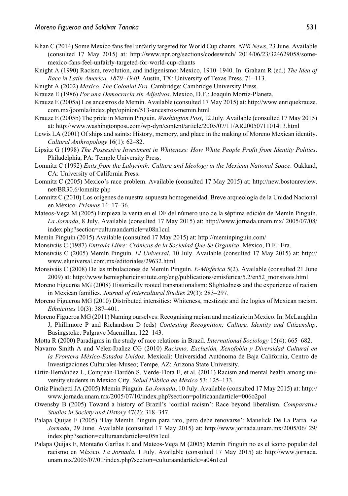- Khan C (2014) Some Mexico fans feel unfairly targeted for World Cup chants. *NPR News*, 23 June. Available (consulted 17 May 2015) at: [http://www.npr.org/sections/codeswitch/ 2014/06/23/324629058/some](http://www.npr.org/sections/codeswitch/ 2014/06/23/324629058/some-mexico-fans-feel-unfairly-targeted-for-world-cup-chants)[mexico-fans-feel-unfairly-targeted-for-world-cup-chants](http://www.npr.org/sections/codeswitch/ 2014/06/23/324629058/some-mexico-fans-feel-unfairly-targeted-for-world-cup-chants)
- Knight A (1990) Racism, revolution, and indigenismo: Mexico, 1910–1940. In: Graham R (ed.) *The Idea of Race in Latin America, 1870–1940*. Austin, TX: University of Texas Press, 71–113.
- Knight A (2002) *Mexico. The Colonial Era.* Cambridge: Cambridge University Press.
- Krauze E (1986) *Por una Democracia sin Adjetivos*. Mexico, D.F.: Joaquín Mortiz-Planeta.
- Krauze E (2005a) Los ancestros de Memín. Available (consulted 17 May 2015) at: [http://www.enriquekrauze.](http://www.enriquekrauze.com.mx/joomla/index.php/opinion/513-ancestros-memin.html) [com.mx/joomla/index.php/opinion/513-ancestros-memin.html](http://www.enriquekrauze.com.mx/joomla/index.php/opinion/513-ancestros-memin.html)
- Krauze E (2005b) The pride in Memin Pinguin. *Washington Post*, 12 July. Available (consulted 17 May 2015) at:<http://www.washingtonpost.com/wp-dyn/content/article/2005/07/11/AR2005071101413.html>
- Lewis LA (2001) Of ships and saints: History, memory, and place in the making of Moreno Mexican identity. *Cultural Anthropology* 16(1): 62–82.
- Lipsitz G (1998) *The Possessive Investment in Whiteness: How White People Profit from Identity Politics*. Philadelphia, PA: Temple University Press.
- Lomnitz C (1992) *Exits from the Labyrinth: Culture and Ideology in the Mexican National Space*. Oakland, CA: University of California Press.
- Lomnitz C (2005) Mexico's race problem. Available (consulted 17 May 2015) at: [http://new.bostonreview.](http://new.bostonreview.net/BR30.6/lomnitz.php) [net/BR30.6/lomnitz.php](http://new.bostonreview.net/BR30.6/lomnitz.php)
- Lomnitz C (2010) Los orígenes de nuestra supuesta homogeneidad. Breve arqueología de la Unidad Nacional en México. *Prismas* 14: 17–36.
- Mateos-Vega M (2005) Empieza la venta en el DF del número uno de la séptima edición de Memín Pinguín. *La Jornada*, 8 July. Available (consulted 17 May 2015) at: [http://www.jornada.unam.mx/ 2005/07/08/](http://www.jornada.unam.mx/ 2005/07/08/index.php?section=culturaandarticle=a08n1cul) [index.php?section=culturaandarticle=a08n1cul](http://www.jornada.unam.mx/ 2005/07/08/index.php?section=culturaandarticle=a08n1cul)
- Memín Pinguín (2015) Available (consulted 17 May 2015) at:<http://meminpinguin.com/>
- Monsiváis C (1987) *Entrada Libre: Crónicas de la Sociedad Que Se Organiza*. México, D.F.: Era.
- Monsiváis C (2005) Memín Pinguín. *El Universal*, 10 July. Available (consulted 17 May 2015) at: [http://](http://www.eluniversal.com.mx/editoriales/29632.html) [www.eluniversal.com.mx/editoriales/29632.html](http://www.eluniversal.com.mx/editoriales/29632.html)
- Monsiváis C (2008) De las tribulaciones de Memín Pinguín. *E-Misférica* 5(2). Available (consulted 21 June 2009) at: [http://www.hemisphericinstitute.org/eng/publications/emisferica/5.2/en52\\_monsivais.html](http://www.hemisphericinstitute.org/eng/publications/emisferica/5.2/en52_monsivais.html)
- Moreno Figueroa MG (2008) Historically rooted transnationalism: Slightedness and the experience of racism in Mexican families. *Journal of Intercultural Studies* 29(3): 283–297.
- Moreno Figueroa MG (2010) Distributed intensities: Whiteness, mestizaje and the logics of Mexican racism. *Ethnicities* 10(3): 387–401.
- Moreno Figueroa MG (2011) Naming ourselves: Recognising racism and mestizaje in Mexico. In: McLaughlin J, Phillimore P and Richardson D (eds) *Contesting Recognition: Culture, Identity and Citizenship*. Basingstoke: Palgrave Macmillan, 122–143.
- Motta R (2000) Paradigms in the study of race relations in Brazil. *International Sociology* 15(4): 665–682.
- Navarro Smith A and Vélez-Ibañez CG (2010) *Racismo, Exclusión, Xenofobia y Diversidad Cultural en la Frontera México-Estados Unidos*. Mexicali: Universidad Autónoma de Baja California, Centro de Investigaciones Culturales-Museo; Tempe, AZ: Arizona State University.
- Ortiz-Hernández L, Compeán-Dardón S, Verde-Flota E, et al. (2011) Racism and mental health among university students in Mexico City. *Salud Pública de México* 53: 125–133.
- Ortiz Pinchetti JA (2005) Memín Pinguín. *La Jornada*, 10 July. Available (consulted 17 May 2015) at: [http://](http://www.jornada.unam.mx/2005/07/10/index.php?section=politicaandarticle=006o2pol) [www.jornada.unam.mx/2005/07/10/index.php?section=politicaandarticle=006o2pol](http://www.jornada.unam.mx/2005/07/10/index.php?section=politicaandarticle=006o2pol)
- Owensby B (2005) Toward a history of Brazil's 'cordial racism': Race beyond liberalism. *Comparative Studies in Society and History* 47(2): 318–347.
- Palapa Quijas F (2005) 'Hay Memín Pinguín para rato, pero debe renovarse': Manelick De La Parra. *La Jornada*, 29 June. Available (consulted 17 May 2015) at: [http://www.jornada.unam.mx/2005/06/ 29/](http://www.jornada.unam.mx/2005/06/ 29/index.php?section=culturaandarticle=a05n1cul) [index.php?section=culturaandarticle=a05n1cul](http://www.jornada.unam.mx/2005/06/ 29/index.php?section=culturaandarticle=a05n1cul)
- Palapa Quijas F, Montaño Garfias E and Mateos-Vega M (2005) Memín Pinguín no es el ícono popular del racismo en México. *La Jornada*, 1 July. Available (consulted 17 May 2015) at: [http://www.jornada.](http://www.jornada.unam.mx/2005/07/01/index.php?section=culturaandarticle=a04n1cul) [unam.mx/2005/07/01/index.php?section=culturaandarticle=a04n1cul](http://www.jornada.unam.mx/2005/07/01/index.php?section=culturaandarticle=a04n1cul)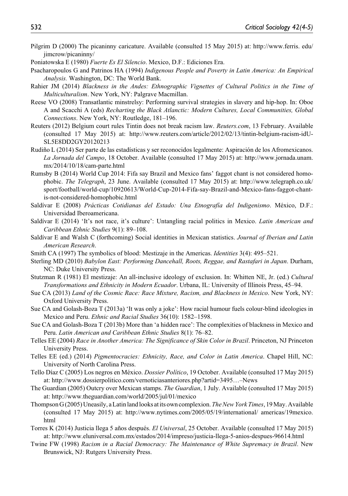- Pilgrim D (2000) The picaninny caricature. Available (consulted 15 May 2015) at: [http://www.ferris. edu/](http://www.ferris. edu/jimcrow/picaninny/) [jimcrow/picaninny/](http://www.ferris. edu/jimcrow/picaninny/)
- Poniatowska E (1980) *Fuerte Es El Silencio*. Mexico, D.F.: Ediciones Era.
- Psacharopoulos G and Patrinos HA (1994) *Indigenous People and Poverty in Latin America: An Empirical Analysis.* Washington, DC: The World Bank.
- Rahier JM (2014) *Blackness in the Andes: Ethnographic Vignettes of Cultural Politics in the Time of Multiculturalism*. New York, NY: Palgrave Macmillan.
- Reese VO (2008) Transatlantic minstrelsy: Performing survival strategies in slavery and hip-hop. In: Oboe A and Scacchi A (eds) *Recharting the Black Atlanctic: Modern Cultures, Local Communities, Global Connections*. New York, NY: Routledge, 181–196.
- Reuters (2012) Belgium court rules Tintin does not break racism law. *Reuters.com*, 13 February. Available (consulted 17 May 2015) at: [http://www.reuters.com/article/2012/02/13/tintin-belgium-racism-idU-](http://www.reuters.com/article/2012/02/13/tintin-belgium-racism-idUSL5E8DD2GY20120213)[SL5E8DD2GY20120213](http://www.reuters.com/article/2012/02/13/tintin-belgium-racism-idUSL5E8DD2GY20120213)
- Rudiño L (2014) Ser parte de las estadísticas y ser reconocidos legalmente: Aspiración de los Afromexicanos. *La Jornada del Campo*, 18 October. Available (consulted 17 May 2015) at: [http://www.jornada.unam.](http://www.jornada.unam.mx/2014/10/18/cam-parte.html) [mx/2014/10/18/cam-parte.html](http://www.jornada.unam.mx/2014/10/18/cam-parte.html)
- Rumsby B (2014) World Cup 2014: Fifa say Brazil and Mexico fans' faggot chant is not considered homophobic. *The Telegraph*, 23 June. Available (consulted 17 May 2015) at: [http://www.telegraph.co.uk/](http://www.telegraph.co.uk/sport/football/world-cup/10920613/World-Cup-2014-Fifa-say-Brazil-and-Mexico-fans-faggot-chant-is-not-considered-homophobic.html) [sport/football/world-cup/10920613/World-Cup-2014-Fifa-say-Brazil-and-Mexico-fans-faggot-chant](http://www.telegraph.co.uk/sport/football/world-cup/10920613/World-Cup-2014-Fifa-say-Brazil-and-Mexico-fans-faggot-chant-is-not-considered-homophobic.html)[is-not-considered-homophobic.html](http://www.telegraph.co.uk/sport/football/world-cup/10920613/World-Cup-2014-Fifa-say-Brazil-and-Mexico-fans-faggot-chant-is-not-considered-homophobic.html)
- Saldívar E (2008) *Prácticas Cotidianas del Estado: Una Etnografía del Indigenismo*. México, D.F.: Universidad Iberoamericana.
- Saldívar E (2014) 'It's not race, it's culture': Untangling racial politics in Mexico. *Latin American and Caribbean Ethnic Studies* 9(1): 89–108.
- Saldívar E and Walsh C (forthcoming) Social identities in Mexican statistics. *Journal of Iberian and Latin American Research*.
- Smith CA (1997) The symbolics of blood: Mestizaje in the Americas. *Identities* 3(4): 495–521.
- Sterling MD (2010) *Babylon East: Performing Dancehall, Roots, Reggae, and Rastafari in Japan*. Durham, NC: Duke University Press.
- Stutzman R (1981) El mestizaje: An all-inclusive ideology of exclusion. In: Whitten NE, Jr. (ed.) *Cultural Transformations and Ethnicity in Modern Ecuador*. Urbana, IL: University of Illinois Press, 45–94.
- Sue CA (2013) *Land of the Cosmic Race: Race Mixture, Racism, and Blackness in Mexico*. New York, NY: Oxford University Press.
- Sue CA and Golash-Boza T (2013a) 'It was only a joke': How racial humour fuels colour-blind ideologies in Mexico and Peru. *Ethnic and Racial Studies* 36(10): 1582–1598.
- Sue CA and Golash-Boza T (2013b) More than 'a hidden race': The complexities of blackness in Mexico and Peru. *Latin American and Caribbean Ethnic Studies* 8(1): 76–82.
- Telles EE (2004) *Race in Another America: The Significance of Skin Color in Brazil*. Princeton, NJ Princeton University Press.
- Telles EE (ed.) (2014) *Pigmentocracies: Ethnicity, Race, and Color in Latin America*. Chapel Hill, NC: University of North Carolina Press.
- Tello Díaz C (2005) Los negros en México. *Dossier Político*, 19 October. Available (consulted 17 May 2015) at: [http://www.dossierpolitico.com/vernoticiasanteriores.php?artid=3495…](http://www.dossierpolitico.com/vernoticiasanteriores.php?artid=3495)–News
- The Guardian (2005) Outcry over Mexican stamps. *The Guardian*, 1 July. Available (consulted 17 May 2015) at: <http://www.theguardian.com/world/2005/jul/01/mexico>
- Thompson G (2005) Uneasily, a Latin land looks at its own complexion. *The New York Times*, 19 May. Available (consulted 17 May 2015) at: [http://www.nytimes.com/2005/05/19/international/ americas/19mexico.](http://www.nytimes.com/2005/05/19/international/ americas/19mexico.html) [html](http://www.nytimes.com/2005/05/19/international/ americas/19mexico.html)
- Torres K (2014) Justicia llega 5 años después. *El Universal*, 25 October. Available (consulted 17 May 2015) at: <http://www.eluniversal.com.mx/estados/2014/impreso/justicia-llega-5-anios-despues-96614.html>
- Twine FW (1998) *Racism in a Racial Democracy: The Maintenance of White Supremacy in Brazil*. New Brunswick, NJ: Rutgers University Press.